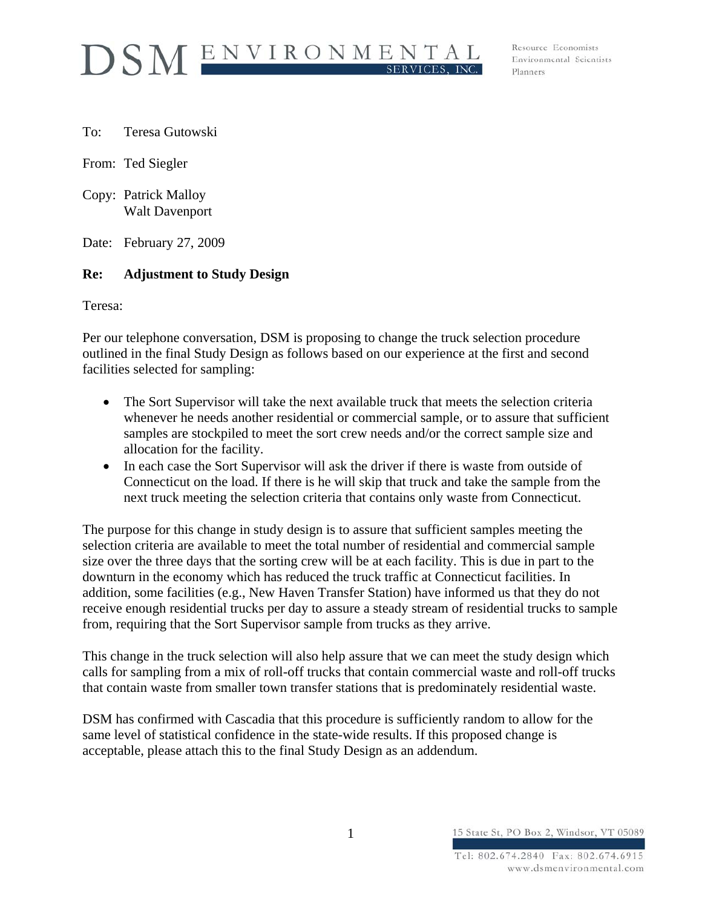

Resource Economists Environmental Scientists Planners

To: Teresa Gutowski

From: Ted Siegler

Copy: Patrick Malloy Walt Davenport

Date: February 27, 2009

## **Re: Adjustment to Study Design**

Teresa:

Per our telephone conversation, DSM is proposing to change the truck selection procedure outlined in the final Study Design as follows based on our experience at the first and second facilities selected for sampling:

- The Sort Supervisor will take the next available truck that meets the selection criteria whenever he needs another residential or commercial sample, or to assure that sufficient samples are stockpiled to meet the sort crew needs and/or the correct sample size and allocation for the facility.
- In each case the Sort Supervisor will ask the driver if there is waste from outside of Connecticut on the load. If there is he will skip that truck and take the sample from the next truck meeting the selection criteria that contains only waste from Connecticut.

The purpose for this change in study design is to assure that sufficient samples meeting the selection criteria are available to meet the total number of residential and commercial sample size over the three days that the sorting crew will be at each facility. This is due in part to the downturn in the economy which has reduced the truck traffic at Connecticut facilities. In addition, some facilities (e.g., New Haven Transfer Station) have informed us that they do not receive enough residential trucks per day to assure a steady stream of residential trucks to sample from, requiring that the Sort Supervisor sample from trucks as they arrive.

This change in the truck selection will also help assure that we can meet the study design which calls for sampling from a mix of roll-off trucks that contain commercial waste and roll-off trucks that contain waste from smaller town transfer stations that is predominately residential waste.

DSM has confirmed with Cascadia that this procedure is sufficiently random to allow for the same level of statistical confidence in the state-wide results. If this proposed change is acceptable, please attach this to the final Study Design as an addendum.